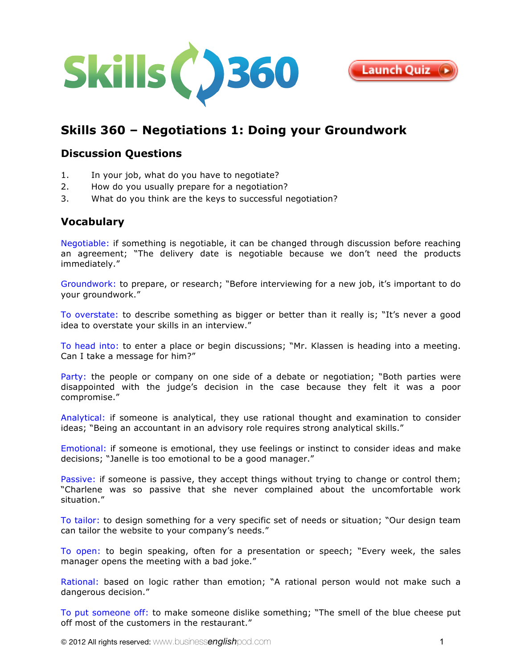



# **Skills 360 – Negotiations 1: Doing your Groundwork**

### **Discussion Questions**

- 1. In your job, what do you have to negotiate?
- 2. How do you usually prepare for a negotiation?
- 3. What do you think are the keys to successful negotiation?

## **Vocabulary**

Negotiable: if something is negotiable, it can be changed through discussion before reaching an agreement; "The delivery date is negotiable because we don't need the products immediately."

Groundwork: to prepare, or research; "Before interviewing for a new job, it's important to do your groundwork."

To overstate: to describe something as bigger or better than it really is; "It's never a good idea to overstate your skills in an interview."

To head into: to enter a place or begin discussions; "Mr. Klassen is heading into a meeting. Can I take a message for him?"

Party: the people or company on one side of a debate or negotiation; "Both parties were disappointed with the judge's decision in the case because they felt it was a poor compromise."

Analytical: if someone is analytical, they use rational thought and examination to consider ideas; "Being an accountant in an advisory role requires strong analytical skills."

Emotional: if someone is emotional, they use feelings or instinct to consider ideas and make decisions; "Janelle is too emotional to be a good manager."

Passive: if someone is passive, they accept things without trying to change or control them; "Charlene was so passive that she never complained about the uncomfortable work situation."

To tailor: to design something for a very specific set of needs or situation; "Our design team can tailor the website to your company's needs."

To open: to begin speaking, often for a presentation or speech; "Every week, the sales manager opens the meeting with a bad joke."

Rational: based on logic rather than emotion; "A rational person would not make such a dangerous decision."

To put someone off: to make someone dislike something; "The smell of the blue cheese put off most of the customers in the restaurant."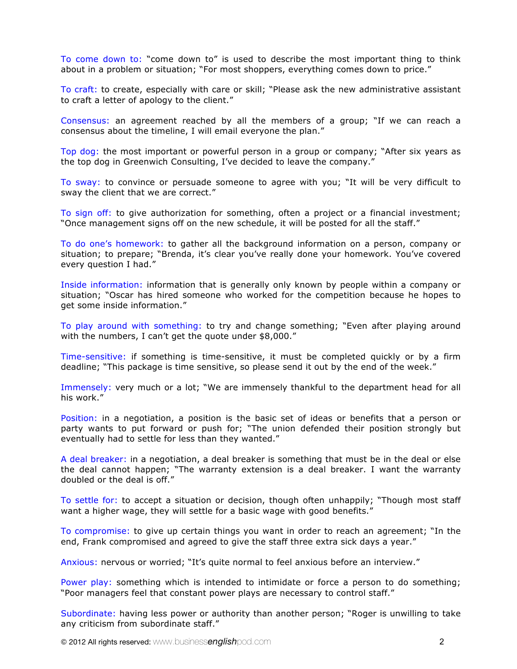To come down to: "come down to" is used to describe the most important thing to think about in a problem or situation; "For most shoppers, everything comes down to price."

To craft: to create, especially with care or skill; "Please ask the new administrative assistant to craft a letter of apology to the client."

Consensus: an agreement reached by all the members of a group; "If we can reach a consensus about the timeline, I will email everyone the plan."

Top dog: the most important or powerful person in a group or company; "After six years as the top dog in Greenwich Consulting, I've decided to leave the company."

To sway: to convince or persuade someone to agree with you; "It will be very difficult to sway the client that we are correct."

To sign off: to give authorization for something, often a project or a financial investment; "Once management signs off on the new schedule, it will be posted for all the staff."

To do one's homework: to gather all the background information on a person, company or situation; to prepare; "Brenda, it's clear you've really done your homework. You've covered every question I had."

Inside information: information that is generally only known by people within a company or situation; "Oscar has hired someone who worked for the competition because he hopes to get some inside information."

To play around with something: to try and change something; "Even after playing around with the numbers, I can't get the quote under \$8,000."

Time-sensitive: if something is time-sensitive, it must be completed quickly or by a firm deadline; "This package is time sensitive, so please send it out by the end of the week."

Immensely: very much or a lot; "We are immensely thankful to the department head for all his work."

Position: in a negotiation, a position is the basic set of ideas or benefits that a person or party wants to put forward or push for; "The union defended their position strongly but eventually had to settle for less than they wanted."

A deal breaker: in a negotiation, a deal breaker is something that must be in the deal or else the deal cannot happen; "The warranty extension is a deal breaker. I want the warranty doubled or the deal is off."

To settle for: to accept a situation or decision, though often unhappily; "Though most staff want a higher wage, they will settle for a basic wage with good benefits."

To compromise: to give up certain things you want in order to reach an agreement; "In the end, Frank compromised and agreed to give the staff three extra sick days a year."

Anxious: nervous or worried; "It's quite normal to feel anxious before an interview."

Power play: something which is intended to intimidate or force a person to do something; "Poor managers feel that constant power plays are necessary to control staff."

Subordinate: having less power or authority than another person; "Roger is unwilling to take any criticism from subordinate staff."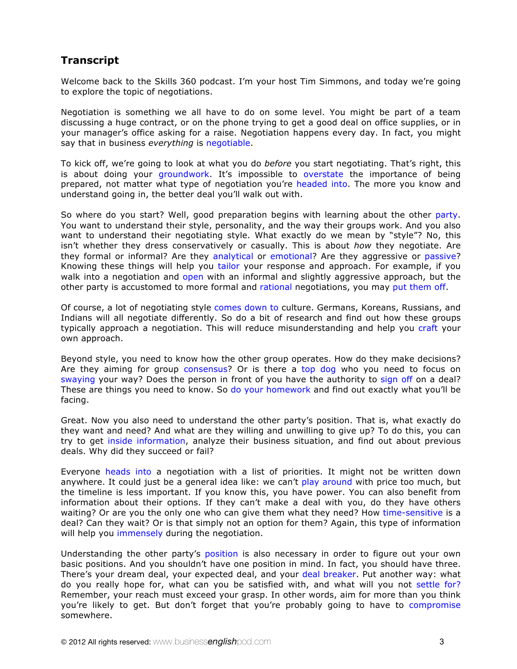# **Transcript**

Welcome back to the Skills 360 podcast. I'm your host Tim Simmons, and today we're going to explore the topic of negotiations.

Negotiation is something we all have to do on some level. You might be part of a team discussing a huge contract, or on the phone trying to get a good deal on office supplies, or in your manager's office asking for a raise. Negotiation happens every day. In fact, you might say that in business *everything* is negotiable.

To kick off, we're going to look at what you do *before* you start negotiating. That's right, this is about doing your groundwork. It's impossible to overstate the importance of being prepared, not matter what type of negotiation you're headed into. The more you know and understand going in, the better deal you'll walk out with.

So where do you start? Well, good preparation begins with learning about the other party. You want to understand their style, personality, and the way their groups work. And you also want to understand their negotiating style. What exactly do we mean by "style"? No, this isn't whether they dress conservatively or casually. This is about *how* they negotiate. Are they formal or informal? Are they analytical or emotional? Are they aggressive or passive? Knowing these things will help you tailor your response and approach. For example, if you walk into a negotiation and open with an informal and slightly aggressive approach, but the other party is accustomed to more formal and rational negotiations, you may put them off.

Of course, a lot of negotiating style comes down to culture. Germans, Koreans, Russians, and Indians will all negotiate differently. So do a bit of research and find out how these groups typically approach a negotiation. This will reduce misunderstanding and help you craft your own approach.

Beyond style, you need to know how the other group operates. How do they make decisions? Are they aiming for group consensus? Or is there a top dog who you need to focus on swaying your way? Does the person in front of you have the authority to sign off on a deal? These are things you need to know. So do your homework and find out exactly what you'll be facing.

Great. Now you also need to understand the other party's position. That is, what exactly do they want and need? And what are they willing and unwilling to give up? To do this, you can try to get inside information, analyze their business situation, and find out about previous deals. Why did they succeed or fail?

Everyone heads into a negotiation with a list of priorities. It might not be written down anywhere. It could just be a general idea like: we can't play around with price too much, but the timeline is less important. If you know this, you have power. You can also benefit from information about their options. If they can't make a deal with you, do they have others waiting? Or are you the only one who can give them what they need? How time-sensitive is a deal? Can they wait? Or is that simply not an option for them? Again, this type of information will help you immensely during the negotiation.

Understanding the other party's position is also necessary in order to figure out your own basic positions. And you shouldn't have one position in mind. In fact, you should have three. There's your dream deal, your expected deal, and your deal breaker. Put another way: what do you really hope for, what can you be satisfied with, and what will you not settle for? Remember, your reach must exceed your grasp. In other words, aim for more than you think you're likely to get. But don't forget that you're probably going to have to compromise somewhere.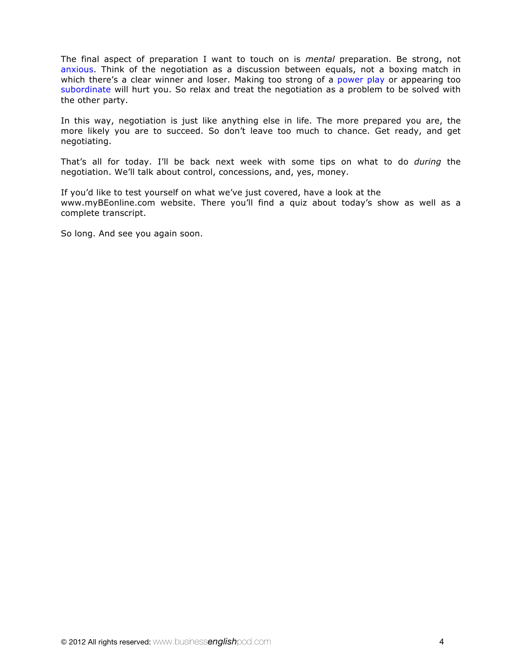The final aspect of preparation I want to touch on is *mental* preparation. Be strong, not anxious. Think of the negotiation as a discussion between equals, not a boxing match in which there's a clear winner and loser. Making too strong of a power play or appearing too subordinate will hurt you. So relax and treat the negotiation as a problem to be solved with the other party.

In this way, negotiation is just like anything else in life. The more prepared you are, the more likely you are to succeed. So don't leave too much to chance. Get ready, and get negotiating.

That's all for today. I'll be back next week with some tips on what to do *during* the negotiation. We'll talk about control, concessions, and, yes, money.

If you'd like to test yourself on what we've just covered, have a look at the www.myBEonline.com website. There you'll find a quiz about today's show as well as a complete transcript.

So long. And see you again soon.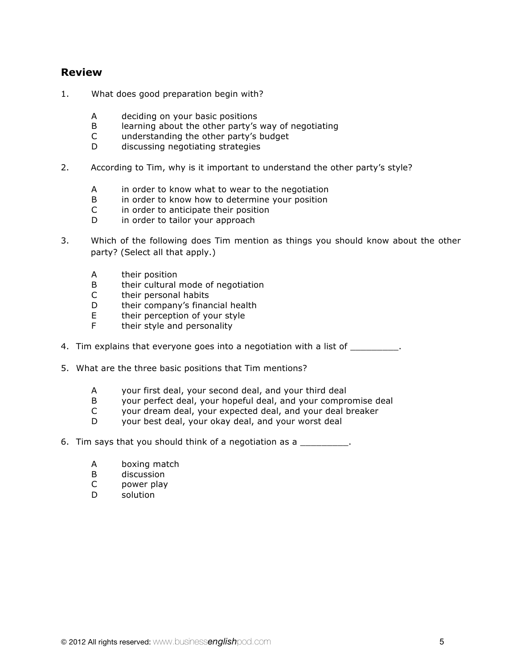### **Review**

- 1. What does good preparation begin with?
	- A deciding on your basic positions
	- B learning about the other party's way of negotiating
	- C understanding the other party's budget
	- D discussing negotiating strategies
- 2. According to Tim, why is it important to understand the other party's style?
	- A in order to know what to wear to the negotiation
	- B in order to know how to determine your position<br>C in order to anticipate their position
	- in order to anticipate their position
	- D in order to tailor your approach
- 3. Which of the following does Tim mention as things you should know about the other party? (Select all that apply.)
	- A their position
	- B their cultural mode of negotiation
	- C their personal habits
	- D their company's financial health
	- E their perception of your style<br>F their style and personality
	- their style and personality
- 4. Tim explains that everyone goes into a negotiation with a list of \_\_\_\_\_\_\_\_\_\_.
- 5. What are the three basic positions that Tim mentions?
	- A your first deal, your second deal, and your third deal
	- B your perfect deal, your hopeful deal, and your compromise deal
	- C your dream deal, your expected deal, and your deal breaker
	- D your best deal, your okay deal, and your worst deal

6. Tim says that you should think of a negotiation as a \_\_\_\_\_\_\_\_\_.

- A boxing match
- B discussion
- C power play
- D solution